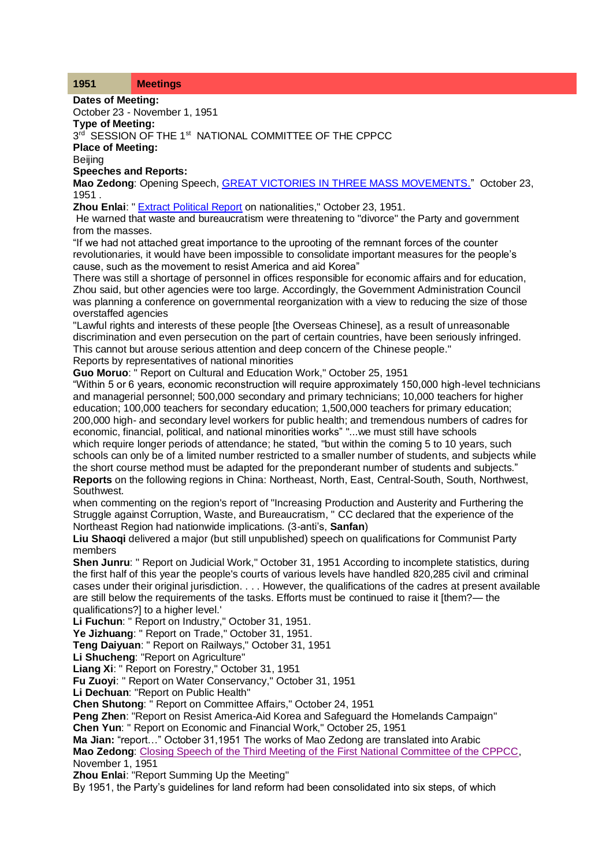## **1951 Meetings**

**Dates of Meeting:**

October 23 - November 1, 1951

**Type of Meeting:**

 $3^{\text{rd}}$  SESSION OF THE 1st NATIONAL COMMITTEE OF THE CPPCC

**Place of Meeting:**

**Beijing** 

**Speeches and Reports:**

**Mao Zedong**: Opening Speech, [GREAT VICTORIES IN THREE MASS MOVEMENTS."](http://www.commonprogram.science/documents/23-10-1951.pdf) October 23, 1951 .

**Zhou Enlai:** " [Extract Political Report](http://www.commonprogram.science/documents/Relations%20Among%20Nationalities,%20October%2023%201951.pdf) on nationalities," October 23, 1951.

He warned that waste and bureaucratism were threatening to "divorce" the Party and government from the masses.

"If we had not attached great importance to the uprooting of the remnant forces of the counter revolutionaries, it would have been impossible to consolidate important measures for the people's cause, such as the movement to resist America and aid Korea"

There was still a shortage of personnel in offices responsible for economic affairs and for education, Zhou said, but other agencies were too large. Accordingly, the Government Administration Council was planning a conference on governmental reorganization with a view to reducing the size of those overstaffed agencies

"Lawful rights and interests of these people [the Overseas Chinese], as a result of unreasonable discrimination and even persecution on the part of certain countries, have been seriously infringed. This cannot but arouse serious attention and deep concern of the Chinese people."

Reports by representatives of national minorities

**Guo Moruo**: " Report on Cultural and Education Work," October 25, 1951

"Within 5 or 6 years, economic reconstruction will require approximately 150,000 high-level technicians and managerial personnel; 500,000 secondary and primary technicians; 10,000 teachers for higher education; 100,000 teachers for secondary education; 1,500,000 teachers for primary education; 200,000 high- and secondary level workers for public health; and tremendous numbers of cadres for economic, financial, political, and national minorities works" "...we must still have schools which require longer periods of attendance; he stated, "but within the coming 5 to 10 years, such

schools can only be of a limited number restricted to a smaller number of students, and subjects while the short course method must be adapted for the preponderant number of students and subjects." **Reports** on the following regions in China: Northeast, North, East, Central-South, South, Northwest, Southwest.

when commenting on the region's report of "Increasing Production and Austerity and Furthering the Struggle against Corruption, Waste, and Bureaucratism, " CC declared that the experience of the Northeast Region had nationwide implications. (3-anti's, **Sanfan**)

**Liu Shaoqi** delivered a major (but still unpublished) speech on qualifications for Communist Party members

**Shen Junru**: " Report on Judicial Work," October 31, 1951 According to incomplete statistics, during the first half of this year the people's courts of various levels have handled 820,285 civil and criminal cases under their original jurisdiction. . . . However, the qualifications of the cadres at present available are still below the requirements of the tasks. Efforts must be continued to raise it [them?— the qualifications?] to a higher level.'

**Li Fuchun**: " Report on Industry," October 31, 1951.

**Ye Jizhuang**: " Report on Trade," October 31, 1951.

**Teng Daiyuan**: " Report on Railways," October 31, 1951

**Li Shucheng**: "Report on Agriculture"

**Liang Xi**: " Report on Forestry," October 31, 1951

**Fu Zuoyi**: " Report on Water Conservancy," October 31, 1951

**Li Dechuan**: "Report on Public Health"

**Chen Shutong**: " Report on Committee Affairs," October 24, 1951

**Peng Zhen**: "Report on Resist America-Aid Korea and Safeguard the Homelands Campaign"

**Chen Yun**: " Report on Economic and Financial Work," October 25, 1951

**Ma Jian:** "report…" October 31,1951 The works of Mao Zedong are translated into Arabic **Mao Zedong**: [Closing Speech of the Third Meeting of the First National Committee of the CPPCC,](http://www.commonprogram.science/documents/01-11-1951.pdf) November 1, 1951

**Zhou Enlai**: "Report Summing Up the Meeting"

By 1951, the Party's guidelines for land reform had been consolidated into six steps, of which